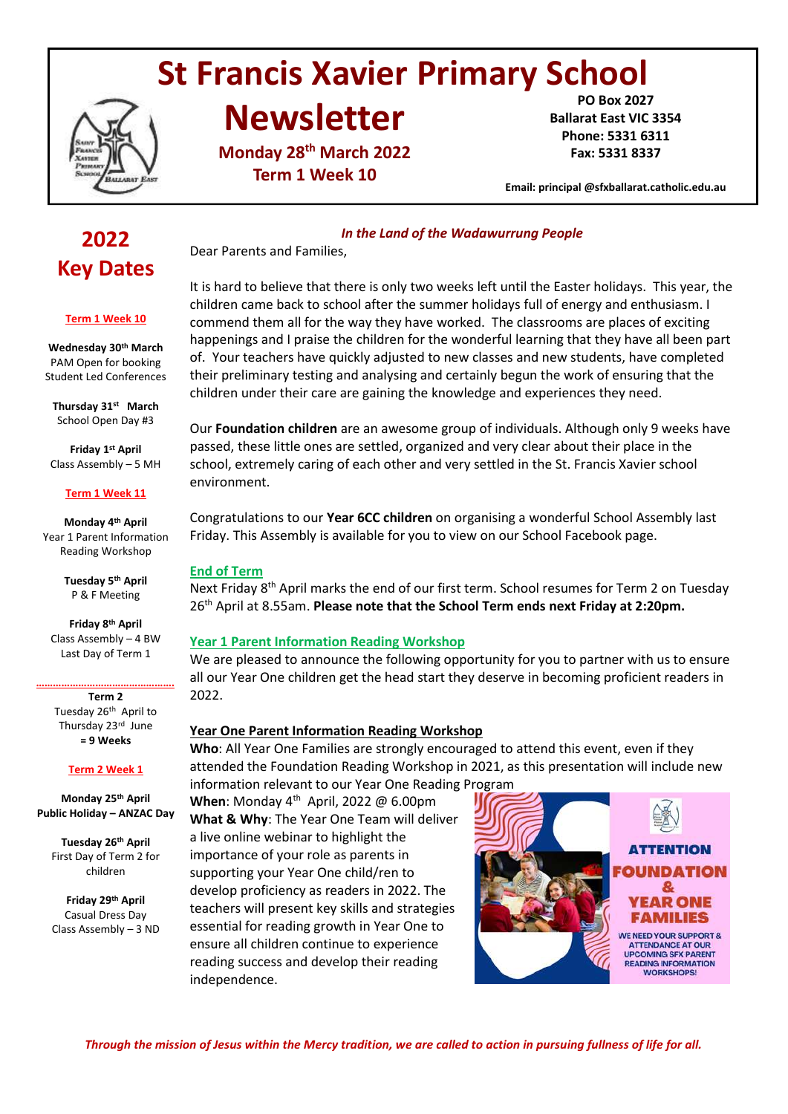# **St Francis Xavier Primary School**



# **Newsletter**

**Monday 28th March 2022 Term 1 Week 10**

Dear Parents and Families,

**PO Box 2027 Ballarat East VIC 3354 Phone: 5331 6311 Fax: 5331 8337**

**Email: principal @sfxballarat.catholic.edu.au** 

# **2022 Key Dates**

# **Term 1 Week 10**

**Wednesday 30th March** PAM Open for booking Student Led Conferences

**Thursday 31st March** School Open Day #3

**Friday 1 st April**  Class Assembly – 5 MH

#### **Term 1 Week 11**

**Monday 4th April** Year 1 Parent Information Reading Workshop

> **Tuesday 5th April** P & F Meeting

**Friday 8th April** Class Assembly – 4 BW Last Day of Term 1

**Term 2** Tuesday 26th April to Thursday 23rd June **= 9 Weeks**

**………………………………………….**

#### **Term 2 Week 1**

**Monday 25th April Public Holiday – ANZAC Day**

**Tuesday 26th April** First Day of Term 2 for children

**Friday 29th April** Casual Dress Day Class Assembly – 3 ND It is hard to believe that there is only two weeks left until the Easter holidays. This year, the children came back to school after the summer holidays full of energy and enthusiasm. I commend them all for the way they have worked. The classrooms are places of exciting happenings and I praise the children for the wonderful learning that they have all been part of. Your teachers have quickly adjusted to new classes and new students, have completed their preliminary testing and analysing and certainly begun the work of ensuring that the children under their care are gaining the knowledge and experiences they need.

*In the Land of the Wadawurrung People*

Our **Foundation children** are an awesome group of individuals. Although only 9 weeks have passed, these little ones are settled, organized and very clear about their place in the school, extremely caring of each other and very settled in the St. Francis Xavier school environment.

Congratulations to our **Year 6CC children** on organising a wonderful School Assembly last Friday. This Assembly is available for you to view on our School Facebook page.

# **End of Term**

Next Friday 8<sup>th</sup> April marks the end of our first term. School resumes for Term 2 on Tuesday 26th April at 8.55am. **Please note that the School Term ends next Friday at 2:20pm.**

# **Year 1 Parent Information Reading Workshop**

We are pleased to announce the following opportunity for you to partner with us to ensure all our Year One children get the head start they deserve in becoming proficient readers in 2022.

# **Year One Parent Information Reading Workshop**

**Who**: All Year One Families are strongly encouraged to attend this event, even if they attended the Foundation Reading Workshop in 2021, as this presentation will include new information relevant to our Year One Reading Program

**When**: Monday 4th April, 2022 @ 6.00pm **What & Why**: The Year One Team will deliver a live online webinar to highlight the importance of your role as parents in supporting your Year One child/ren to develop proficiency as readers in 2022. The teachers will present key skills and strategies essential for reading growth in Year One to ensure all children continue to experience reading success and develop their reading independence.

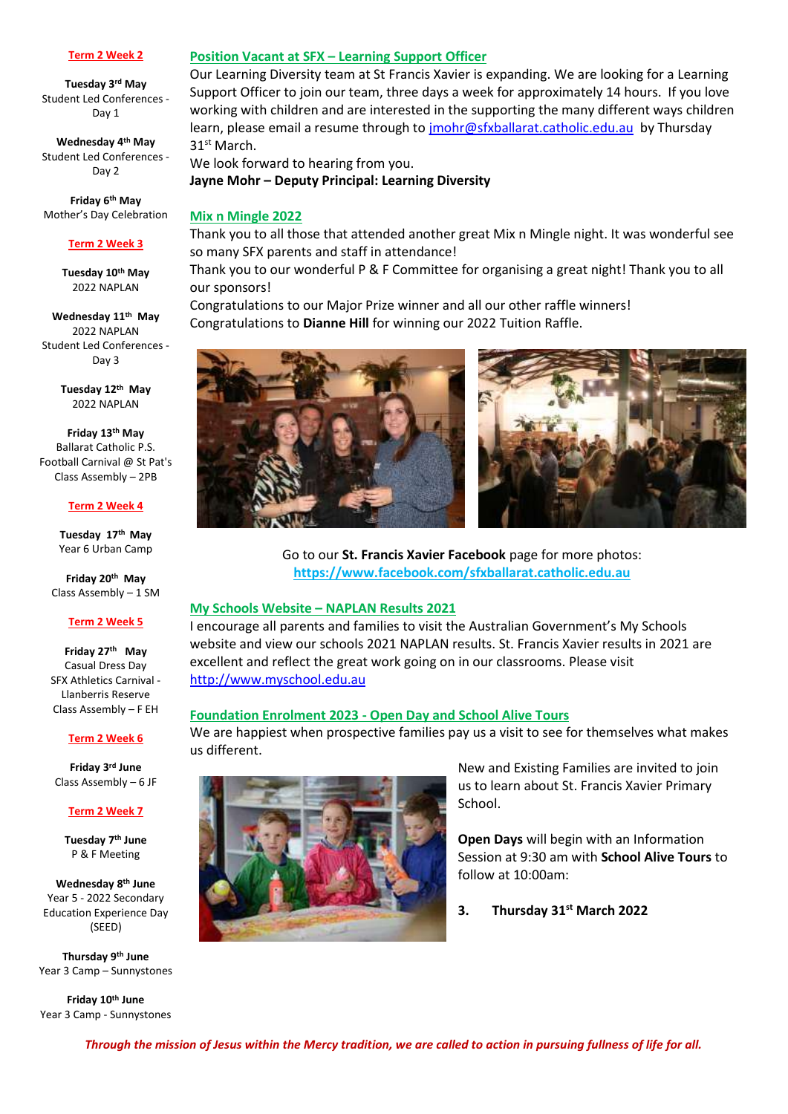#### **Term 2 Week 2**

**Tuesday 3rd May** Student Led Conferences - Day 1

**Wednesday 4th May** Student Led Conferences - Day 2

**Friday 6th May** Mother's Day Celebration

#### **Term 2 Week 3**

**Tuesday 10th May** 2022 NAPLAN

**Wednesday 11th May** 2022 NAPLAN Student Led Conferences - Day 3

> **Tuesday 12th May** 2022 NAPLAN

**Friday 13th May** Ballarat Catholic P.S. Football Carnival @ St Pat's Class Assembly – 2PB

#### **Term 2 Week 4**

**Tuesday 17th May** Year 6 Urban Camp

**Friday 20th May** Class Assembly – 1 SM

#### **Term 2 Week 5**

**Friday 27th May** Casual Dress Day SFX Athletics Carnival - Llanberris Reserve Class Assembly – F EH

#### **Term 2 Week 6**

**Friday 3 rd June**  Class Assembly – 6 JF

#### **Term 2 Week 7**

**Tuesday 7th June** P & F Meeting

**Wednesday 8th June** Year 5 - 2022 Secondary Education Experience Day (SEED)

**Thursday 9th June** Year 3 Camp – Sunnystones

**Friday 10th June** Year 3 Camp - Sunnystones

# **Position Vacant at SFX – Learning Support Officer**

Our Learning Diversity team at St Francis Xavier is expanding. We are looking for a Learning Support Officer to join our team, three days a week for approximately 14 hours. If you love working with children and are interested in the supporting the many different ways children learn, please email a resume through to [jmohr@sfxballarat.catholic.edu.au](mailto:jmohr@sfxballarat.catholic.edu.au) by Thursday 31st March.

We look forward to hearing from you. **Jayne Mohr – Deputy Principal: Learning Diversity**

# **Mix n Mingle 2022**

Thank you to all those that attended another great Mix n Mingle night. It was wonderful see so many SFX parents and staff in attendance!

Thank you to our wonderful P & F Committee for organising a great night! Thank you to all our sponsors!

Congratulations to our Major Prize winner and all our other raffle winners! Congratulations to **Dianne Hill** for winning our 2022 Tuition Raffle.



Go to our **St. Francis Xavier Facebook** page for more photos: **https://www.facebook.com/sfxballarat.catholic.edu.au**

#### **My Schools Website – NAPLAN Results 2021**

I encourage all parents and families to visit the Australian Government's My Schools website and view our schools 2021 NAPLAN results. St. Francis Xavier results in 2021 are excellent and reflect the great work going on in our classrooms. Please visit [http://www.myschool.edu.au](http://www.myschool.edu.au/)

#### **Foundation Enrolment 2023 - Open Day and School Alive Tours**

We are happiest when prospective families pay us a visit to see for themselves what makes us different.



New and Existing Families are invited to join us to learn about St. Francis Xavier Primary School.

**Open Days** will begin with an Information Session at 9:30 am with **School Alive Tours** to follow at 10:00am:

**3. Thursday 31st March 2022**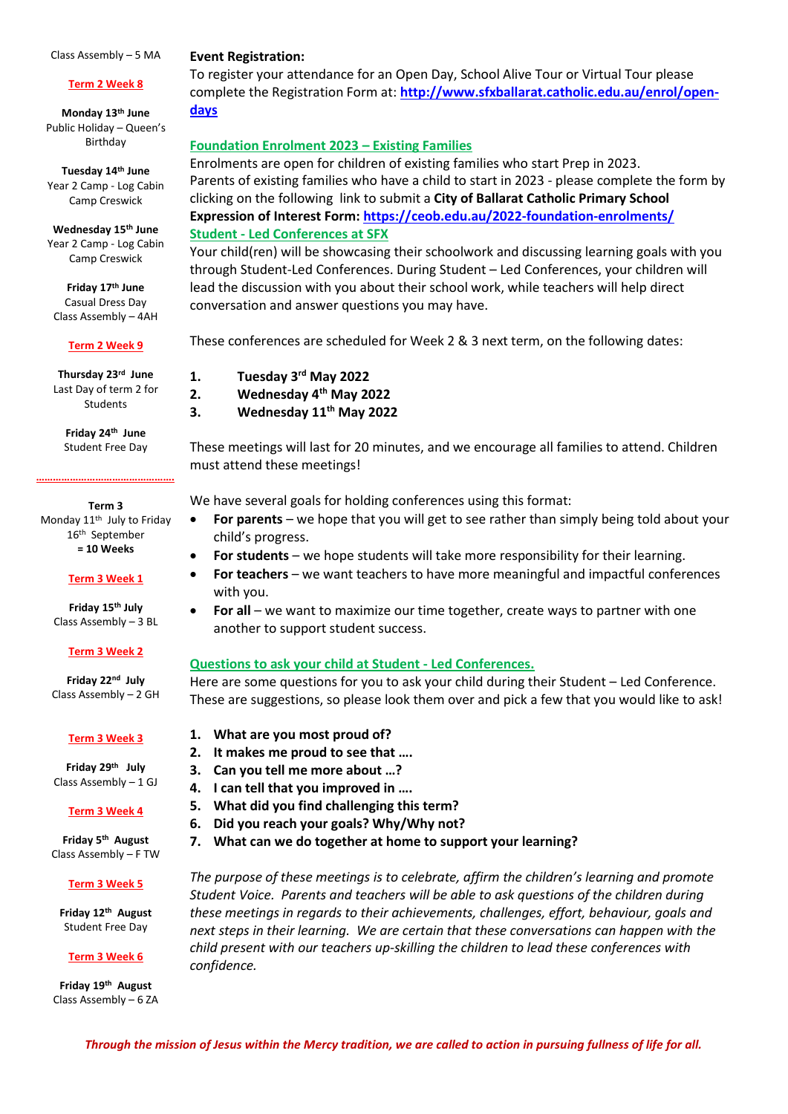#### Class Assembly – 5 MA

#### **Term 2 Week 8**

**Monday 13th June** Public Holiday – Queen's Birthday

**Tuesday 14th June** Year 2 Camp - Log Cabin Camp Creswick

**Wednesday 15th June** Year 2 Camp - Log Cabin Camp Creswick

**Friday 17th June** Casual Dress Day Class Assembly – 4AH

#### **Term 2 Week 9**

**Thursday 23rd June**  Last Day of term 2 for Students

**Friday 24th June** Student Free Day

**………………………………………….**

**Term 3** Monday 11<sup>th</sup> July to Friday 16th September

#### **Term 3 Week 1**

**Friday 15th July** Class Assembly – 3 BL

#### **Term 3 Week 2**

**Friday 22nd July** Class Assembly – 2 GH

#### **Term 3 Week 3**

**Friday 29th July** Class Assembly – 1 GJ

#### **Term 3 Week 4**

**Friday 5 th August** Class Assembly – F TW

#### **Term 3 Week 5**

**Friday 12th August** Student Free Day

#### **Term 3 Week 6**

**Friday 19th August** Class Assembly – 6 ZA

# **Event Registration:**

To register your attendance for an Open Day, School Alive Tour or Virtual Tour please complete the Registration Form at: **[http://www.sfxballarat.catholic.edu.au/enrol/open](http://www.sfxballarat.catholic.edu.au/enrol/open-days)[days](http://www.sfxballarat.catholic.edu.au/enrol/open-days)**

# **Foundation Enrolment 2023 – Existing Families**

Enrolments are open for children of existing families who start Prep in 2023. Parents of existing families who have a child to start in 2023 - please complete the form by clicking on the following link to submit a **City of Ballarat Catholic Primary School Expression of Interest Form[: https://ceob.edu.au/2022-foundation-enrolments/](https://ceob.edu.au/2022-foundation-enrolments/) Student - Led Conferences at SFX**

Your child(ren) will be showcasing their schoolwork and discussing learning goals with you through Student-Led Conferences. During Student – Led Conferences, your children will lead the discussion with you about their school work, while teachers will help direct conversation and answer questions you may have.

These conferences are scheduled for Week 2 & 3 next term, on the following dates:

- **1. Tuesday 3 rd May 2022**
- **2. Wednesday 4 th May 2022**
- **3. Wednesday 11th May 2022**

These meetings will last for 20 minutes, and we encourage all families to attend. Children must attend these meetings!

We have several goals for holding conferences using this format:

- **For parents** we hope that you will get to see rather than simply being told about your child's progress.
	- **For students** we hope students will take more responsibility for their learning.
- **For teachers** we want teachers to have more meaningful and impactful conferences with you.
- **For all** we want to maximize our time together, create ways to partner with one another to support student success.

# **Questions to ask your child at Student - Led Conferences.**

Here are some questions for you to ask your child during their Student – Led Conference. These are suggestions, so please look them over and pick a few that you would like to ask!

- **1. What are you most proud of?**
- **2. It makes me proud to see that ….**
- **3. Can you tell me more about …?**
- **4. I can tell that you improved in ….**
- **5. What did you find challenging this term?**
- **6. Did you reach your goals? Why/Why not?**
- **7. What can we do together at home to support your learning?**

*The purpose of these meetings is to celebrate, affirm the children's learning and promote Student Voice. Parents and teachers will be able to ask questions of the children during these meetings in regards to their achievements, challenges, effort, behaviour, goals and next steps in their learning. We are certain that these conversations can happen with the child present with our teachers up-skilling the children to lead these conferences with confidence.*

# **= 10 Weeks**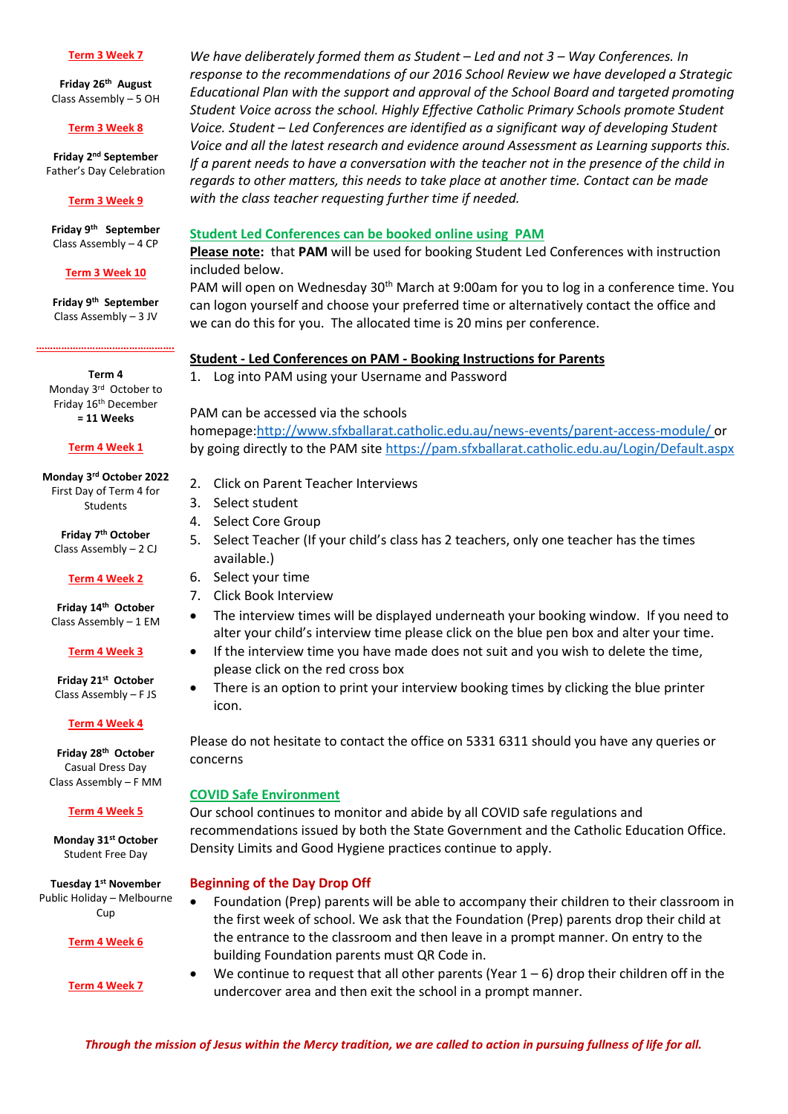#### **Term 3 Week 7**

**Friday 26th August** Class Assembly – 5 OH

#### **Term 3 Week 8**

**Friday 2 nd September** Father's Day Celebration

#### **Term 3 Week 9**

**Friday 9 th September** Class Assembly – 4 CP

#### **Term 3 Week 10**

**Friday 9 th September** Class Assembly – 3 JV

**…………………………………………. Term 4**

Monday 3rd October to Friday 16th December **= 11 Weeks**

#### **Term 4 Week 1**

#### **Monday 3rd October 2022** First Day of Term 4 for

**Students** 

**Friday 7 th October** Class Assembly – 2 CJ

#### **Term 4 Week 2**

**Friday 14th October** Class Assembly – 1 EM

#### **Term 4 Week 3**

**Friday 21st October** Class Assembly – F JS

**Term 4 Week 4**

**Friday 28th October** Casual Dress Day Class Assembly – F MM

#### **Term 4 Week 5**

**Monday 31st October**  Student Free Day

**Tuesday 1st November**  Public Holiday – Melbourne Cup

#### **Term 4 Week 6**

# **Term 4 Week 7**

*We have deliberately formed them as Student – Led and not 3 – Way Conferences. In response to the recommendations of our 2016 School Review we have developed a Strategic Educational Plan with the support and approval of the School Board and targeted promoting Student Voice across the school. Highly Effective Catholic Primary Schools promote Student Voice. Student – Led Conferences are identified as a significant way of developing Student Voice and all the latest research and evidence around Assessment as Learning supports this. If a parent needs to have a conversation with the teacher not in the presence of the child in regards to other matters, this needs to take place at another time. Contact can be made with the class teacher requesting further time if needed.*

# **Student Led Conferences can be booked online using PAM**

**Please note:** that **PAM** will be used for booking Student Led Conferences with instruction included below.

PAM will open on Wednesday 30<sup>th</sup> March at 9:00am for you to log in a conference time. You can logon yourself and choose your preferred time or alternatively contact the office and we can do this for you. The allocated time is 20 mins per conference.

# **Student - Led Conferences on PAM - Booking Instructions for Parents**

1. Log into PAM using your Username and Password

# PAM can be accessed via the schools

homepage[:http://www.sfxballarat.catholic.edu.au/news-events/parent-access-module/](http://www.sfxballarat.catholic.edu.au/news-events/parent-access-module/) or by going directly to the PAM site<https://pam.sfxballarat.catholic.edu.au/Login/Default.aspx>

- 2. Click on Parent Teacher Interviews
- 3. Select student
- 4. Select Core Group
- 5. Select Teacher (If your child's class has 2 teachers, only one teacher has the times available.)
- 6. Select your time
- 7. Click Book Interview
- The interview times will be displayed underneath your booking window. If you need to alter your child's interview time please click on the blue pen box and alter your time.
- If the interview time you have made does not suit and you wish to delete the time, please click on the red cross box
- There is an option to print your interview booking times by clicking the blue printer icon.

Please do not hesitate to contact the office on 5331 6311 should you have any queries or concerns

# **COVID Safe Environment**

Our school continues to monitor and abide by all COVID safe regulations and recommendations issued by both the State Government and the Catholic Education Office. Density Limits and Good Hygiene practices continue to apply.

# **Beginning of the Day Drop Off**

- Foundation (Prep) parents will be able to accompany their children to their classroom in the first week of school. We ask that the Foundation (Prep) parents drop their child at the entrance to the classroom and then leave in a prompt manner. On entry to the building Foundation parents must QR Code in.
	- We continue to request that all other parents (Year  $1-6$ ) drop their children off in the undercover area and then exit the school in a prompt manner.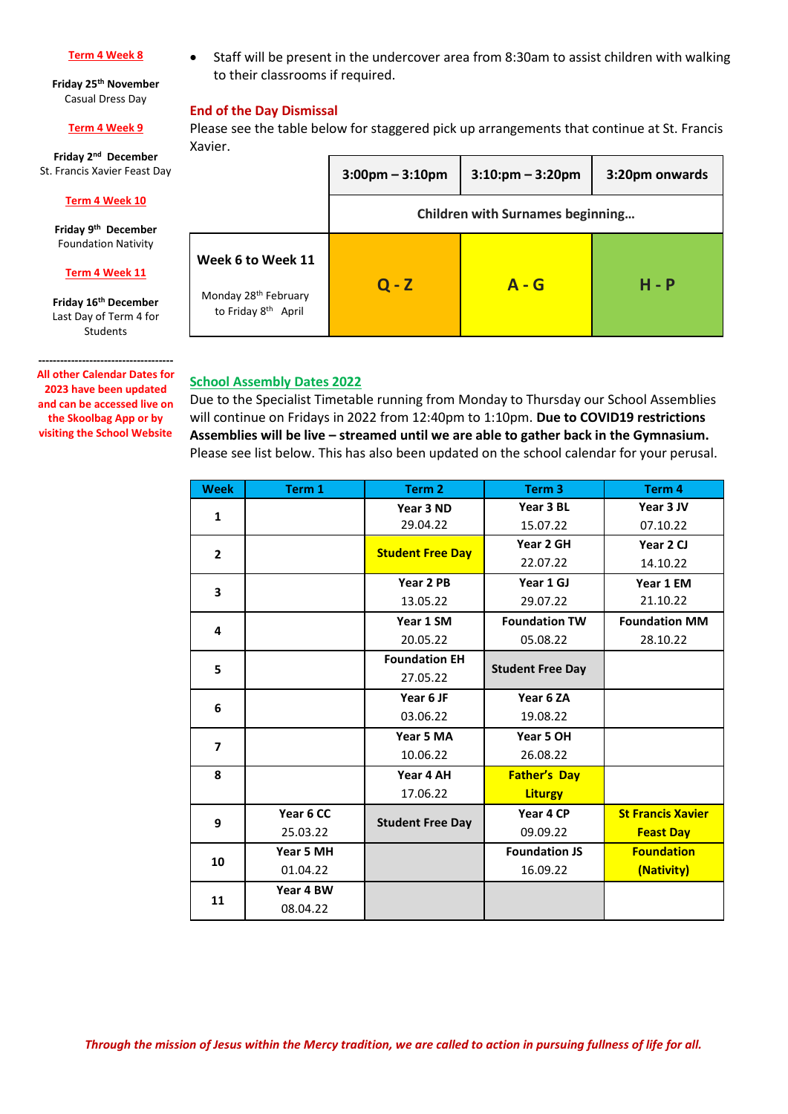#### **Term 4 Week 8**

**Friday 25th November** Casual Dress Day

#### **Term 4 Week 9**

**Friday 2 nd December** St. Francis Xavier Feast Day

#### **Term 4 Week 10**

**Friday 9 th December** Foundation Nativity

#### **Term 4 Week 11**

**Friday 16th December** Last Day of Term 4 for Students

**------------------------------------- All other Calendar Dates for 2023 have been updated and can be accessed live on the Skoolbag App or by visiting the School Website**  Staff will be present in the undercover area from 8:30am to assist children with walking to their classrooms if required.

# **End of the Day Dismissal**

Please see the table below for staggered pick up arrangements that continue at St. Francis Xavier.

|                                                                                          | $3:00 \text{pm} - 3:10 \text{pm}$       | $3:10:pm - 3:20pm$ | 3:20pm onwards |  |
|------------------------------------------------------------------------------------------|-----------------------------------------|--------------------|----------------|--|
|                                                                                          | <b>Children with Surnames beginning</b> |                    |                |  |
| Week 6 to Week 11<br>Monday 28 <sup>th</sup> February<br>to Friday 8 <sup>th</sup> April | $Q - Z$                                 | A - G              | $H - P$        |  |

#### **School Assembly Dates 2022**

Due to the Specialist Timetable running from Monday to Thursday our School Assemblies will continue on Fridays in 2022 from 12:40pm to 1:10pm. **Due to COVID19 restrictions Assemblies will be live – streamed until we are able to gather back in the Gymnasium.**  Please see list below. This has also been updated on the school calendar for your perusal.

| <b>Week</b>             | Term 1    | Term <sub>2</sub>       | Term <sub>3</sub>       | Term 4                   |
|-------------------------|-----------|-------------------------|-------------------------|--------------------------|
| 1                       |           | Year 3 ND               | Year 3 BL               | Year 3 JV                |
|                         |           | 29.04.22                | 15.07.22                | 07.10.22                 |
| $\overline{2}$          |           | <b>Student Free Day</b> | Year 2 GH               | Year 2 CJ                |
|                         |           |                         | 22.07.22                | 14.10.22                 |
| $\overline{\mathbf{3}}$ |           | Year 2 PB               | Year 1 GJ               | Year 1 EM                |
|                         |           | 13.05.22                | 29.07.22                | 21.10.22                 |
| 4                       |           | Year 1 SM               | <b>Foundation TW</b>    | <b>Foundation MM</b>     |
|                         |           | 20.05.22                | 05.08.22                | 28.10.22                 |
| 5                       |           | <b>Foundation EH</b>    | <b>Student Free Day</b> |                          |
|                         |           | 27.05.22                |                         |                          |
|                         |           | Year 6 JF               | Year 6 ZA               |                          |
| 6                       |           | 03.06.22                | 19.08.22                |                          |
|                         |           | Year 5 MA               | Year 5 OH               |                          |
| $\overline{\mathbf{z}}$ |           | 10.06.22                | 26.08.22                |                          |
| 8                       |           | Year 4 AH               | <b>Father's Day</b>     |                          |
|                         |           | 17.06.22                | <b>Liturgy</b>          |                          |
| 9                       | Year 6 CC | <b>Student Free Day</b> | Year 4 CP               | <b>St Francis Xavier</b> |
|                         | 25.03.22  |                         | 09.09.22                | <b>Feast Day</b>         |
|                         | Year 5 MH |                         | <b>Foundation JS</b>    | <b>Foundation</b>        |
| 10                      | 01.04.22  |                         | 16.09.22                | (Nativity)               |
| 11                      | Year 4 BW |                         |                         |                          |
|                         | 08.04.22  |                         |                         |                          |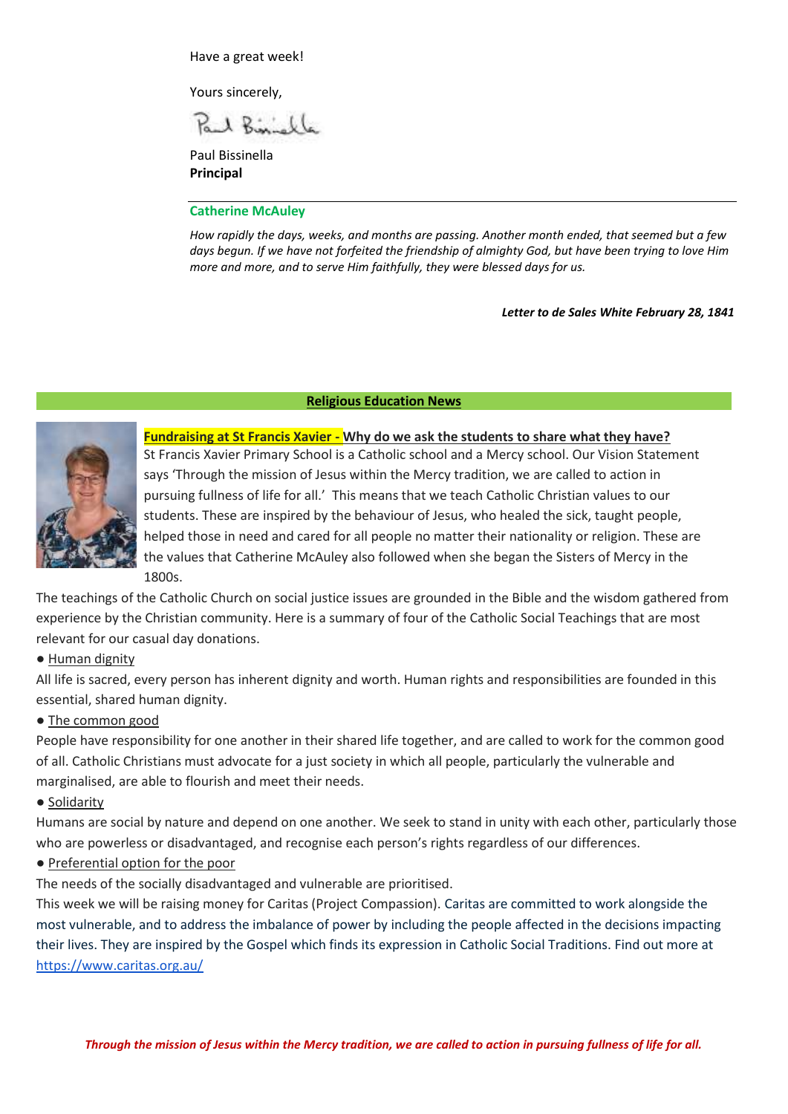Have a great week!

Yours sincerely,

 $1R:U$ 

Paul Bissinella **Principal**

# **Catherine McAuley**

*How rapidly the days, weeks, and months are passing. Another month ended, that seemed but a few days begun. If we have not forfeited the friendship of almighty God, but have been trying to love Him more and more, and to serve Him faithfully, they were blessed days for us.*

# *Letter to de Sales White February 28, 1841*

# **Religious Education News**



**Fundraising at St Francis Xavier - Why do we ask the students to share what they have?** St Francis Xavier Primary School is a Catholic school and a Mercy school. Our Vision Statement says 'Through the mission of Jesus within the Mercy tradition, we are called to action in pursuing fullness of life for all.' This means that we teach Catholic Christian values to our students. These are inspired by the behaviour of Jesus, who healed the sick, taught people, helped those in need and cared for all people no matter their nationality or religion. These are the values that Catherine McAuley also followed when she began the Sisters of Mercy in the 1800s.

The teachings of the Catholic Church on social justice issues are grounded in the Bible and the wisdom gathered from experience by the Christian community. Here is a summary of four of the Catholic Social Teachings that are most relevant for our casual day donations.

● Human dignity

All life is sacred, every person has inherent dignity and worth. Human rights and responsibilities are founded in this essential, shared human dignity.

# ● The common good

People have responsibility for one another in their shared life together, and are called to work for the common good of all. Catholic Christians must advocate for a just society in which all people, particularly the vulnerable and marginalised, are able to flourish and meet their needs.

# ● Solidarity

Humans are social by nature and depend on one another. We seek to stand in unity with each other, particularly those who are powerless or disadvantaged, and recognise each person's rights regardless of our differences.

● Preferential option for the poor

The needs of the socially disadvantaged and vulnerable are prioritised.

This week we will be raising money for Caritas (Project Compassion). Caritas are committed to work alongside the most vulnerable, and to address the imbalance of power by including the people affected in the decisions impacting their lives. They are inspired by the Gospel which finds its expression in Catholic Social Traditions. Find out more at <https://www.caritas.org.au/>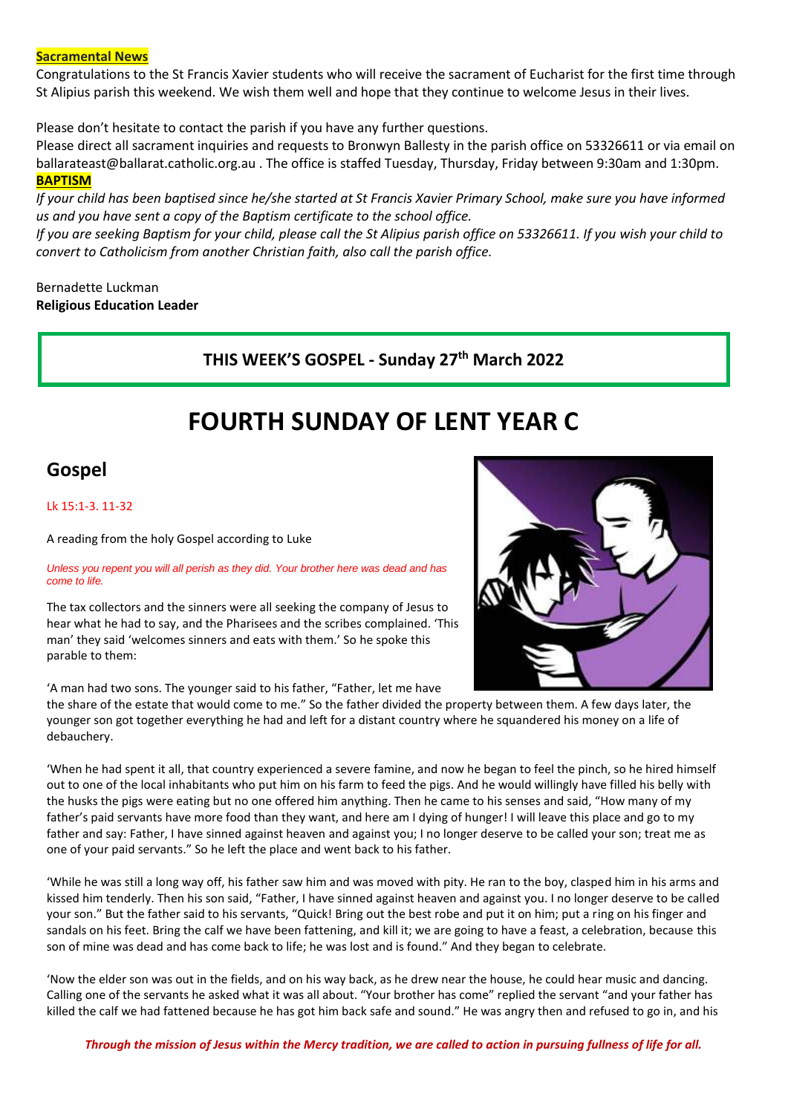#### **Sacramental News**

Congratulations to the St Francis Xavier students who will receive the sacrament of Eucharist for the first time through St Alipius parish this weekend. We wish them well and hope that they continue to welcome Jesus in their lives.

Please don't hesitate to contact the parish if you have any further questions.

Please direct all sacrament inquiries and requests to Bronwyn Ballesty in the parish office on 53326611 or via email on ballarateast@ballarat.catholic.org.au . The office is staffed Tuesday, Thursday, Friday between 9:30am and 1:30pm. **BAPTISM**

*If your child has been baptised since he/she started at St Francis Xavier Primary School, make sure you have informed us and you have sent a copy of the Baptism certificate to the school office.*

*If you are seeking Baptism for your child, please call the St Alipius parish office on 53326611. If you wish your child to convert to Catholicism from another Christian faith, also call the parish office.*

# Bernadette Luckman **Religious Education Leader**

# **THIS WEEK'S GOSPEL - Sunday 27th March 2022**

# **FOURTH SUNDAY OF LENT YEAR C**

# **Gospel**

# Lk 15:1-3. 11-32

A reading from the holy Gospel according to Luke

#### *Unless you repent you will all perish as they did. Your brother here was dead and has come to life.*

The tax collectors and the sinners were all seeking the company of Jesus to hear what he had to say, and the Pharisees and the scribes complained. 'This man' they said 'welcomes sinners and eats with them.' So he spoke this parable to them:

'A man had two sons. The younger said to his father, "Father, let me have

the share of the estate that would come to me." So the father divided the property between them. A few days later, the younger son got together everything he had and left for a distant country where he squandered his money on a life of debauchery.

'When he had spent it all, that country experienced a severe famine, and now he began to feel the pinch, so he hired himself out to one of the local inhabitants who put him on his farm to feed the pigs. And he would willingly have filled his belly with the husks the pigs were eating but no one offered him anything. Then he came to his senses and said, "How many of my father's paid servants have more food than they want, and here am I dying of hunger! I will leave this place and go to my father and say: Father, I have sinned against heaven and against you; I no longer deserve to be called your son; treat me as one of your paid servants." So he left the place and went back to his father.

'While he was still a long way off, his father saw him and was moved with pity. He ran to the boy, clasped him in his arms and kissed him tenderly. Then his son said, "Father, I have sinned against heaven and against you. I no longer deserve to be called your son." But the father said to his servants, "Quick! Bring out the best robe and put it on him; put a ring on his finger and sandals on his feet. Bring the calf we have been fattening, and kill it; we are going to have a feast, a celebration, because this son of mine was dead and has come back to life; he was lost and is found." And they began to celebrate.

'Now the elder son was out in the fields, and on his way back, as he drew near the house, he could hear music and dancing. Calling one of the servants he asked what it was all about. "Your brother has come" replied the servant "and your father has killed the calf we had fattened because he has got him back safe and sound." He was angry then and refused to go in, and his

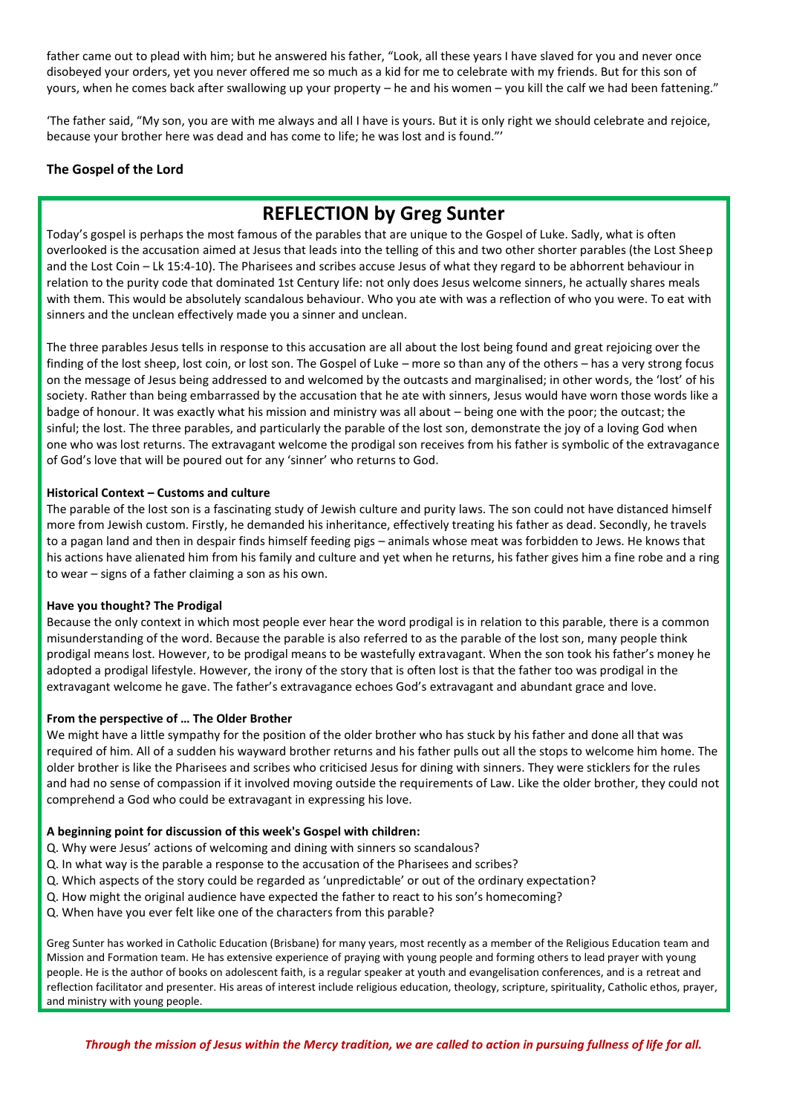father came out to plead with him; but he answered his father, "Look, all these years I have slaved for you and never once disobeyed your orders, yet you never offered me so much as a kid for me to celebrate with my friends. But for this son of yours, when he comes back after swallowing up your property – he and his women – you kill the calf we had been fattening."

'The father said, "My son, you are with me always and all I have is yours. But it is only right we should celebrate and rejoice, because your brother here was dead and has come to life; he was lost and is found."'

# **The Gospel of the Lord**

# **REFLECTION by Greg Sunter**

Today's gospel is perhaps the most famous of the parables that are unique to the Gospel of Luke. Sadly, what is often overlooked is the accusation aimed at Jesus that leads into the telling of this and two other shorter parables (the Lost Sheep and the Lost Coin – Lk 15:4-10). The Pharisees and scribes accuse Jesus of what they regard to be abhorrent behaviour in relation to the purity code that dominated 1st Century life: not only does Jesus welcome sinners, he actually shares meals with them. This would be absolutely scandalous behaviour. Who you ate with was a reflection of who you were. To eat with sinners and the unclean effectively made you a sinner and unclean.

The three parables Jesus tells in response to this accusation are all about the lost being found and great rejoicing over the finding of the lost sheep, lost coin, or lost son. The Gospel of Luke – more so than any of the others – has a very strong focus on the message of Jesus being addressed to and welcomed by the outcasts and marginalised; in other words, the 'lost' of his society. Rather than being embarrassed by the accusation that he ate with sinners, Jesus would have worn those words like a badge of honour. It was exactly what his mission and ministry was all about – being one with the poor; the outcast; the sinful; the lost. The three parables, and particularly the parable of the lost son, demonstrate the joy of a loving God when one who was lost returns. The extravagant welcome the prodigal son receives from his father is symbolic of the extravagance of God's love that will be poured out for any 'sinner' who returns to God.

# **Historical Context – Customs and culture**

The parable of the lost son is a fascinating study of Jewish culture and purity laws. The son could not have distanced himself more from Jewish custom. Firstly, he demanded his inheritance, effectively treating his father as dead. Secondly, he travels to a pagan land and then in despair finds himself feeding pigs – animals whose meat was forbidden to Jews. He knows that his actions have alienated him from his family and culture and yet when he returns, his father gives him a fine robe and a ring to wear – signs of a father claiming a son as his own.

#### **Have you thought? The Prodigal**

Because the only context in which most people ever hear the word prodigal is in relation to this parable, there is a common misunderstanding of the word. Because the parable is also referred to as the parable of the lost son, many people think prodigal means lost. However, to be prodigal means to be wastefully extravagant. When the son took his father's money he adopted a prodigal lifestyle. However, the irony of the story that is often lost is that the father too was prodigal in the extravagant welcome he gave. The father's extravagance echoes God's extravagant and abundant grace and love.

# **From the perspective of … The Older Brother**

We might have a little sympathy for the position of the older brother who has stuck by his father and done all that was required of him. All of a sudden his wayward brother returns and his father pulls out all the stops to welcome him home. The older brother is like the Pharisees and scribes who criticised Jesus for dining with sinners. They were sticklers for the rules and had no sense of compassion if it involved moving outside the requirements of Law. Like the older brother, they could not comprehend a God who could be extravagant in expressing his love.

#### **A beginning point for discussion of this week's Gospel with children:**

- Q. Why were Jesus' actions of welcoming and dining with sinners so scandalous?
- Q. In what way is the parable a response to the accusation of the Pharisees and scribes?
- Q. Which aspects of the story could be regarded as 'unpredictable' or out of the ordinary expectation?
- Q. How might the original audience have expected the father to react to his son's homecoming?
- Q. When have you ever felt like one of the characters from this parable?

Greg Sunter has worked in Catholic Education (Brisbane) for many years, most recently as a member of the Religious Education team and Mission and Formation team. He has extensive experience of praying with young people and forming others to lead prayer with young people. He is the author of books on adolescent faith, is a regular speaker at youth and evangelisation conferences, and is a retreat and reflection facilitator and presenter. His areas of interest include religious education, theology, scripture, spirituality, Catholic ethos, prayer, and ministry with young people.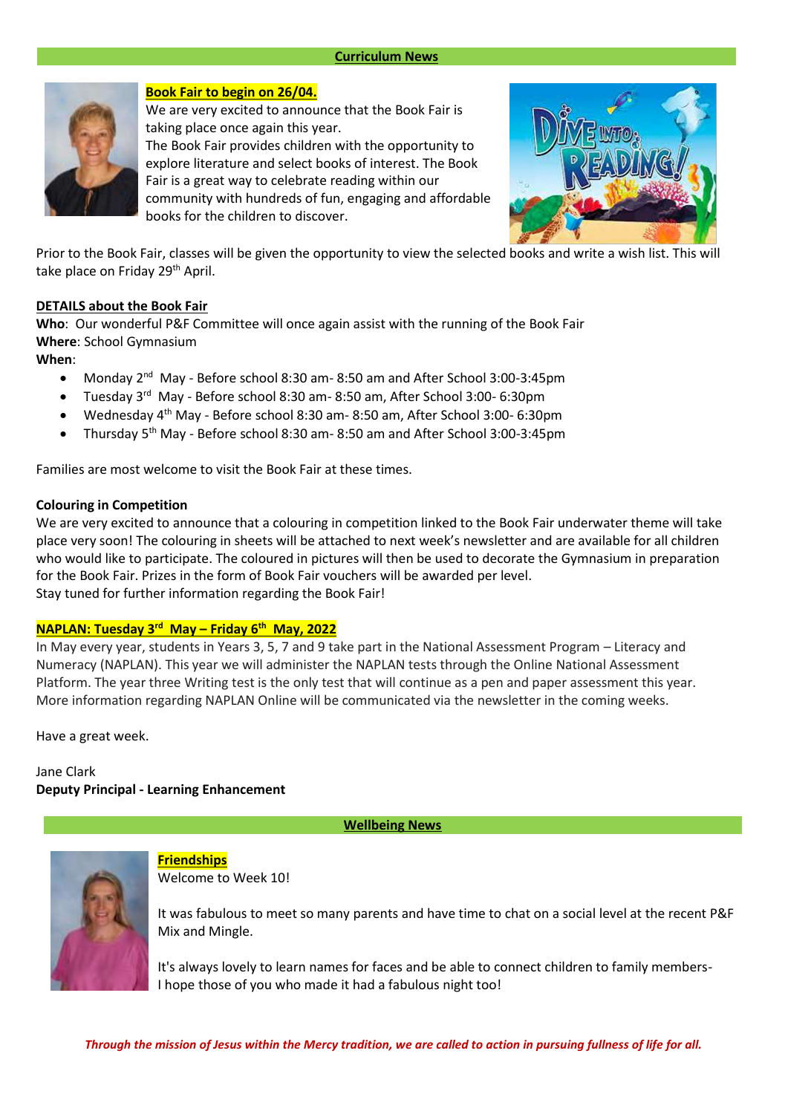

# **Book Fair to begin on 26/04.**

We are very excited to announce that the Book Fair is taking place once again this year. The Book Fair provides children with the opportunity to explore literature and select books of interest. The Book Fair is a great way to celebrate reading within our community with hundreds of fun, engaging and affordable books for the children to discover.



Prior to the Book Fair, classes will be given the opportunity to view the selected books and write a wish list. This will take place on Friday 29<sup>th</sup> April.

# **DETAILS about the Book Fair**

**Who**: Our wonderful P&F Committee will once again assist with the running of the Book Fair **Where**: School Gymnasium

**When**:

- Monday 2<sup>nd</sup> May Before school 8:30 am- 8:50 am and After School 3:00-3:45pm
- Tuesday 3<sup>rd</sup> May Before school 8:30 am- 8:50 am, After School 3:00- 6:30pm
- Wednesday 4<sup>th</sup> May Before school 8:30 am- 8:50 am, After School 3:00- 6:30pm
- Thursday 5<sup>th</sup> May Before school 8:30 am- 8:50 am and After School 3:00-3:45pm

Families are most welcome to visit the Book Fair at these times.

# **Colouring in Competition**

We are very excited to announce that a colouring in competition linked to the Book Fair underwater theme will take place very soon! The colouring in sheets will be attached to next week's newsletter and are available for all children who would like to participate. The coloured in pictures will then be used to decorate the Gymnasium in preparation for the Book Fair. Prizes in the form of Book Fair vouchers will be awarded per level. Stay tuned for further information regarding the Book Fair!

# **NAPLAN: Tuesday 3rd May – Friday 6th May, 2022**

In May every year, students in Years 3, 5, 7 and 9 take part in the National Assessment Program – Literacy and Numeracy (NAPLAN). This year we will administer the NAPLAN tests through the Online National Assessment Platform. The year three Writing test is the only test that will continue as a pen and paper assessment this year. More information regarding NAPLAN Online will be communicated via the newsletter in the coming weeks.

Have a great week.

Jane Clark **Deputy Principal - Learning Enhancement**

**Wellbeing News** 



**Friendships** Welcome to Week 10!

It was fabulous to meet so many parents and have time to chat on a social level at the recent P&F Mix and Mingle.

It's always lovely to learn names for faces and be able to connect children to family members-I hope those of you who made it had a fabulous night too!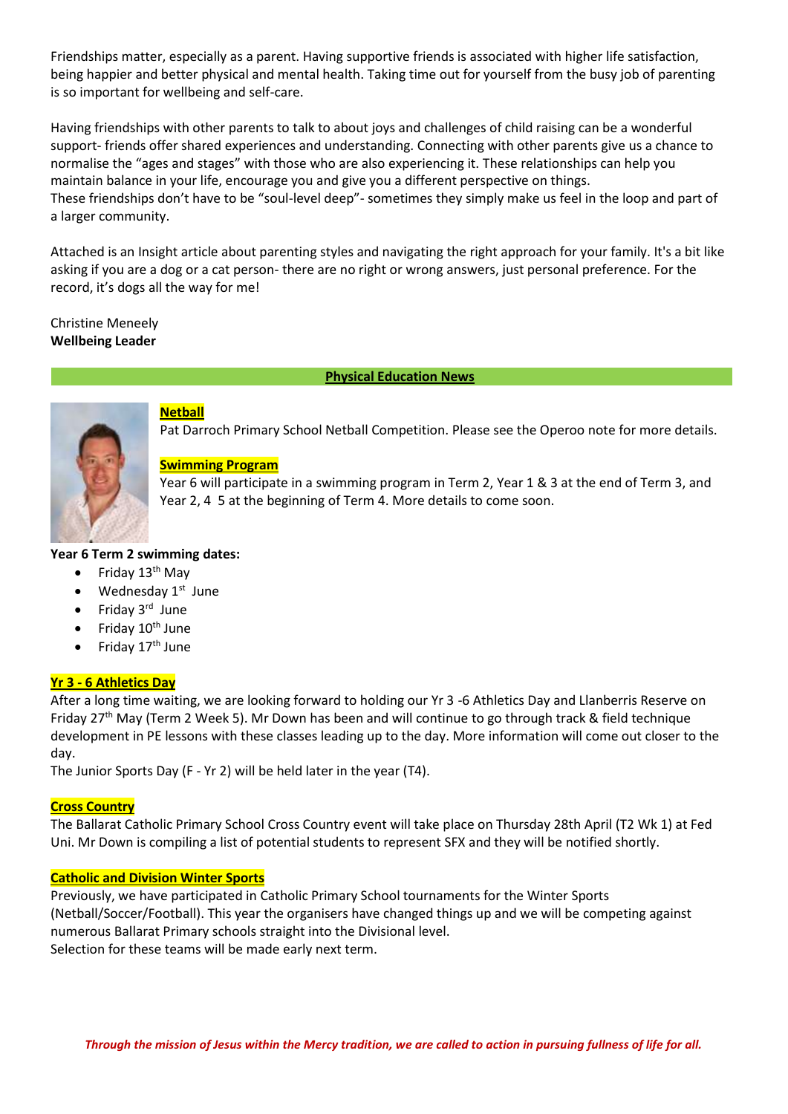Friendships matter, especially as a parent. Having supportive friends is associated with higher life satisfaction, being happier and better physical and mental health. Taking time out for yourself from the busy job of parenting is so important for wellbeing and self-care.

Having friendships with other parents to talk to about joys and challenges of child raising can be a wonderful support- friends offer shared experiences and understanding. Connecting with other parents give us a chance to normalise the "ages and stages" with those who are also experiencing it. These relationships can help you maintain balance in your life, encourage you and give you a different perspective on things. These friendships don't have to be "soul-level deep"- sometimes they simply make us feel in the loop and part of a larger community.

Attached is an Insight article about parenting styles and navigating the right approach for your family. It's a bit like asking if you are a dog or a cat person- there are no right or wrong answers, just personal preference. For the record, it's dogs all the way for me!

Christine Meneely **Wellbeing Leader** 

# **Physical Education News**



# **Netball**

Pat Darroch Primary School Netball Competition. Please see the Operoo note for more details.

# **Swimming Program**

Year 6 will participate in a swimming program in Term 2, Year 1 & 3 at the end of Term 3, and Year 2, 4 5 at the beginning of Term 4. More details to come soon.

# **Year 6 Term 2 swimming dates:**

- Friday  $13<sup>th</sup>$  May
- Wednesday  $1^{st}$  June
- Friday 3<sup>rd</sup> June
- Friday 10<sup>th</sup> June
- Friday 17<sup>th</sup> June

# **Yr 3 - 6 Athletics Day**

After a long time waiting, we are looking forward to holding our Yr 3 -6 Athletics Day and Llanberris Reserve on Friday 27th May (Term 2 Week 5). Mr Down has been and will continue to go through track & field technique development in PE lessons with these classes leading up to the day. More information will come out closer to the day.

The Junior Sports Day (F - Yr 2) will be held later in the year (T4).

# **Cross Country**

The Ballarat Catholic Primary School Cross Country event will take place on Thursday 28th April (T2 Wk 1) at Fed Uni. Mr Down is compiling a list of potential students to represent SFX and they will be notified shortly.

# **Catholic and Division Winter Sports**

Previously, we have participated in Catholic Primary School tournaments for the Winter Sports (Netball/Soccer/Football). This year the organisers have changed things up and we will be competing against numerous Ballarat Primary schools straight into the Divisional level. Selection for these teams will be made early next term.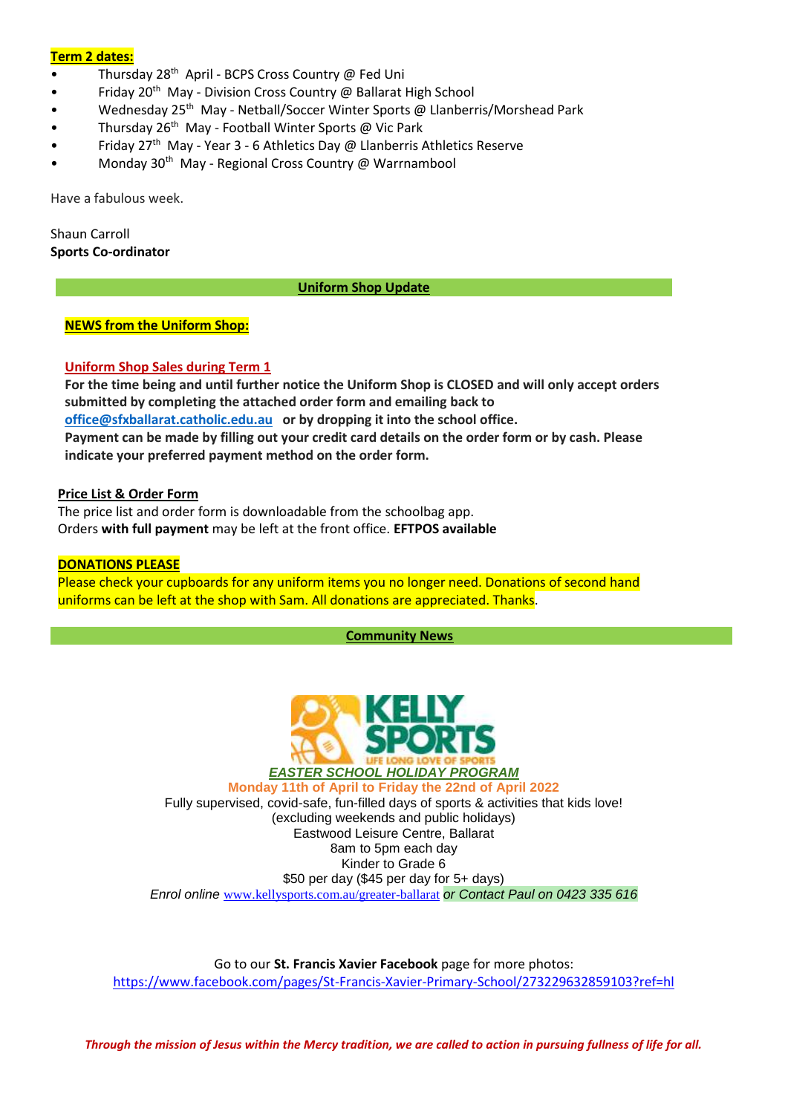# **Term 2 dates:**

- Thursday 28<sup>th</sup> April BCPS Cross Country @ Fed Uni
- Friday 20<sup>th</sup> May Division Cross Country @ Ballarat High School
- Wednesday 25<sup>th</sup> May Netball/Soccer Winter Sports @ Llanberris/Morshead Park
- Thursday 26<sup>th</sup> May Football Winter Sports @ Vic Park
- Friday 27<sup>th</sup> May Year 3 6 Athletics Day @ Llanberris Athletics Reserve
- Monday 30th May Regional Cross Country @ Warrnambool

Have a fabulous week.

Shaun Carroll **Sports Co-ordinator**

# **Uniform Shop Update**

# **NEWS from the Uniform Shop:**

# **Uniform Shop Sales during Term 1**

**For the time being and until further notice the Uniform Shop is CLOSED and will only accept orders submitted by completing the attached order form and emailing back to [office@sfxballarat.catholic.edu.au](mailto:office@sfxballarat.catholic.edu.au) or by dropping it into the school office. Payment can be made by filling out your credit card details on the order form or by cash. Please indicate your preferred payment method on the order form.**

# **Price List & Order Form**

The price list and order form is downloadable from the schoolbag app. Orders **with full payment** may be left at the front office. **EFTPOS available**

# **DONATIONS PLEASE**

Please check your cupboards for any uniform items you no longer need. Donations of second hand uniforms can be left at the shop with Sam. All donations are appreciated. Thanks.

**Community News**



Go to our **St. Francis Xavier Facebook** page for more photos: <https://www.facebook.com/pages/St-Francis-Xavier-Primary-School/273229632859103?ref=hl>

*Through the mission of Jesus within the Mercy tradition, we are called to action in pursuing fullness of life for all.*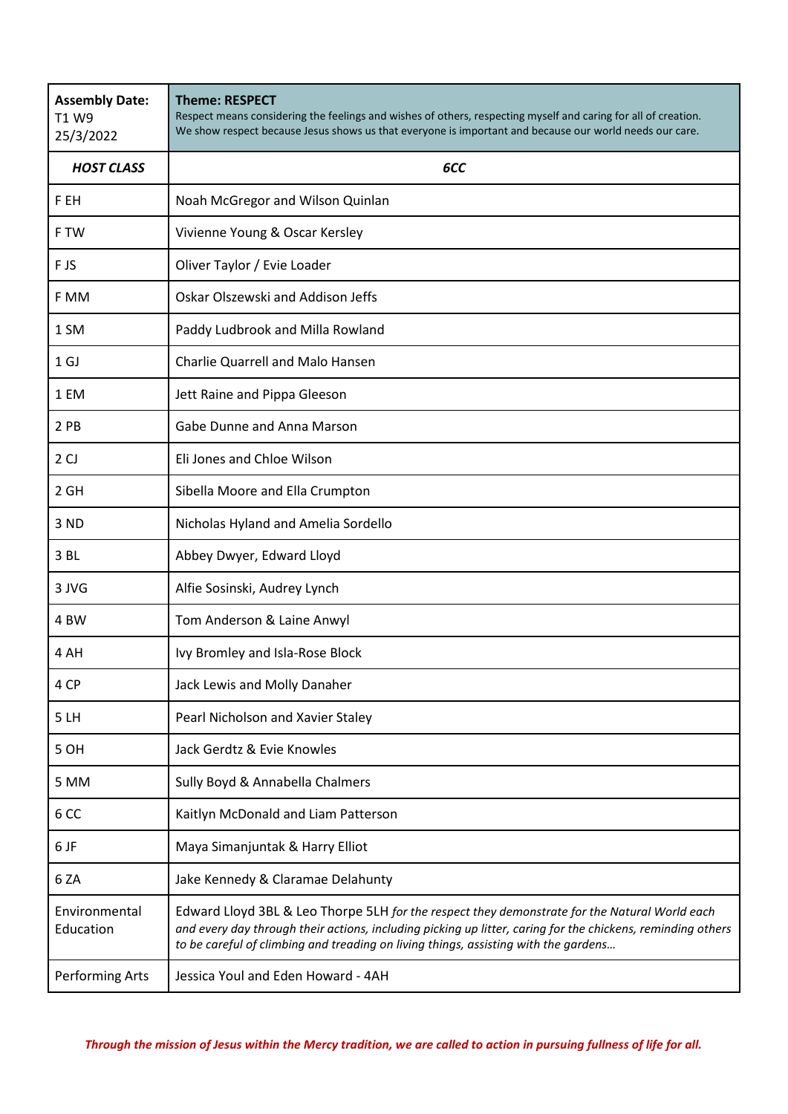| <b>Assembly Date:</b><br>T1 W9<br>25/3/2022 | <b>Theme: RESPECT</b><br>Respect means considering the feelings and wishes of others, respecting myself and caring for all of creation.<br>We show respect because Jesus shows us that everyone is important and because our world needs our care.                                                  |
|---------------------------------------------|-----------------------------------------------------------------------------------------------------------------------------------------------------------------------------------------------------------------------------------------------------------------------------------------------------|
| <b>HOST CLASS</b>                           | 6CC                                                                                                                                                                                                                                                                                                 |
| F EH                                        | Noah McGregor and Wilson Quinlan                                                                                                                                                                                                                                                                    |
| F TW                                        | Vivienne Young & Oscar Kersley                                                                                                                                                                                                                                                                      |
| F JS                                        | Oliver Taylor / Evie Loader                                                                                                                                                                                                                                                                         |
| F MM                                        | Oskar Olszewski and Addison Jeffs                                                                                                                                                                                                                                                                   |
| 1 SM                                        | Paddy Ludbrook and Milla Rowland                                                                                                                                                                                                                                                                    |
| 1 <sub>GJ</sub>                             | <b>Charlie Quarrell and Malo Hansen</b>                                                                                                                                                                                                                                                             |
| 1 EM                                        | Jett Raine and Pippa Gleeson                                                                                                                                                                                                                                                                        |
| 2 PB                                        | Gabe Dunne and Anna Marson                                                                                                                                                                                                                                                                          |
| 2 <sub>CJ</sub>                             | Eli Jones and Chloe Wilson                                                                                                                                                                                                                                                                          |
| 2 GH                                        | Sibella Moore and Ella Crumpton                                                                                                                                                                                                                                                                     |
| 3 ND                                        | Nicholas Hyland and Amelia Sordello                                                                                                                                                                                                                                                                 |
| 3 BL                                        | Abbey Dwyer, Edward Lloyd                                                                                                                                                                                                                                                                           |
| 3 JVG                                       | Alfie Sosinski, Audrey Lynch                                                                                                                                                                                                                                                                        |
| 4 <sub>BW</sub>                             | Tom Anderson & Laine Anwyl                                                                                                                                                                                                                                                                          |
| 4 AH                                        | Ivy Bromley and Isla-Rose Block                                                                                                                                                                                                                                                                     |
| 4 CP                                        | Jack Lewis and Molly Danaher                                                                                                                                                                                                                                                                        |
| 5 LH                                        | Pearl Nicholson and Xavier Staley                                                                                                                                                                                                                                                                   |
| 5 OH                                        | Jack Gerdtz & Evie Knowles                                                                                                                                                                                                                                                                          |
| 5 MM                                        | Sully Boyd & Annabella Chalmers                                                                                                                                                                                                                                                                     |
| 6 CC                                        | Kaitlyn McDonald and Liam Patterson                                                                                                                                                                                                                                                                 |
| 6JF                                         | Maya Simanjuntak & Harry Elliot                                                                                                                                                                                                                                                                     |
| 6 ZA                                        | Jake Kennedy & Claramae Delahunty                                                                                                                                                                                                                                                                   |
| Environmental<br>Education                  | Edward Lloyd 3BL & Leo Thorpe 5LH for the respect they demonstrate for the Natural World each<br>and every day through their actions, including picking up litter, caring for the chickens, reminding others<br>to be careful of climbing and treading on living things, assisting with the gardens |
| Performing Arts                             | Jessica Youl and Eden Howard - 4AH                                                                                                                                                                                                                                                                  |